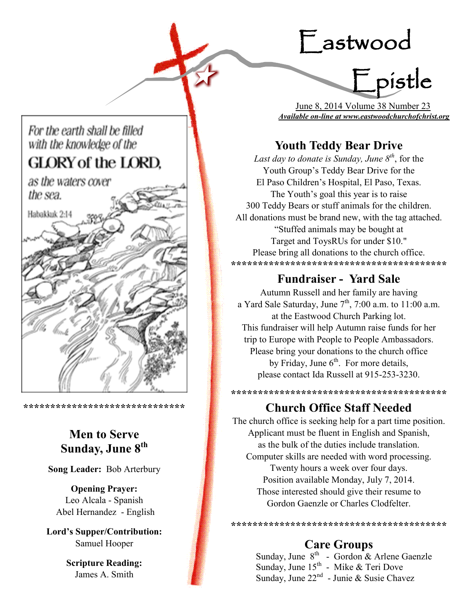# Eastwood

Epistle

 June 8, 2014 Volume 38 Number 23 *Available on-line at www.eastwoodchurchofchrist.org*

## **Youth Teddy Bear Drive**

*Last day to donate is Sunday, June 8th*, for the Youth Group's Teddy Bear Drive for the El Paso Children's Hospital, El Paso, Texas. The Youth's goal this year is to raise 300 Teddy Bears or stuff animals for the children. All donations must be brand new, with the tag attached. "Stuffed animals may be bought at Target and ToysRUs for under \$10." Please bring all donations to the church office. **\*\*\*\*\*\*\*\*\*\*\*\*\*\*\*\*\*\*\*\*\*\*\*\*\*\*\*\*\*\*\*\*\*\*\*\*\*\*\*\***

## **Fundraiser - Yard Sale**

Autumn Russell and her family are having a Yard Sale Saturday, June  $7<sup>th</sup>$ , 7:00 a.m. to 11:00 a.m. at the Eastwood Church Parking lot. This fundraiser will help Autumn raise funds for her trip to Europe with People to People Ambassadors. Please bring your donations to the church office by Friday, June  $6<sup>th</sup>$ . For more details, please contact Ida Russell at 915-253-3230.

## **Church Office Staff Needed**

**\*\*\*\*\*\*\*\*\*\*\*\*\*\*\*\*\*\*\*\*\*\*\*\*\*\*\*\*\*\*\*\*\*\*\*\*\*\*\*\***

The church office is seeking help for a part time position. Applicant must be fluent in English and Spanish, as the bulk of the duties include translation. Computer skills are needed with word processing. Twenty hours a week over four days. Position available Monday, July 7, 2014. Those interested should give their resume to Gordon Gaenzle or Charles Clodfelter.

**Care Groups**

**\*\*\*\*\*\*\*\*\*\*\*\*\*\*\*\*\*\*\*\*\*\*\*\*\*\*\*\*\*\*\*\*\*\*\*\*\*\*\*\***

Sunday, June  $8^{th}$  - Gordon & Arlene Gaenzle Sunday, June  $15^{th}$  - Mike & Teri Dove Sunday, June 22<sup>nd</sup> - Junie & Susie Chavez

## For the earth shall be filled with the knowledge of the

## **GLORY of the LORD.**

as the waters cover the sea.



**\*\*\*\*\*\*\*\*\*\*\*\*\*\*\*\*\*\*\*\*\*\*\*\*\*\*\*\*\*\***

## **Men to Serve Sunday, June 8th**

**Song Leader:** Bob Arterbury

**Opening Prayer:** Leo Alcala - Spanish Abel Hernandez - English

**Lord's Supper/Contribution:**  Samuel Hooper

> **Scripture Reading:**  James A. Smith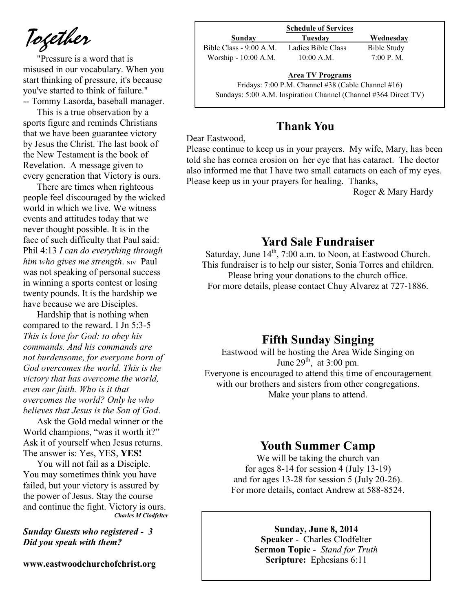*Together*

"Pressure is a word that is misused in our vocabulary. When you start thinking of pressure, it's because you've started to think of failure." -- Tommy Lasorda, baseball manager.

This is a true observation by a sports figure and reminds Christians that we have been guarantee victory by Jesus the Christ. The last book of the New Testament is the book of Revelation. A message given to every generation that Victory is ours.

There are times when righteous people feel discouraged by the wicked world in which we live. We witness events and attitudes today that we never thought possible. It is in the face of such difficulty that Paul said: Phil 4:13 *I can do everything through him who gives me strength.* NIV Paul was not speaking of personal success in winning a sports contest or losing twenty pounds. It is the hardship we have because we are Disciples.

Hardship that is nothing when compared to the reward. I Jn 5:3-5 *This is love for God: to obey his commands. And his commands are not burdensome, for everyone born of God overcomes the world. This is the victory that has overcome the world, even our faith. Who is it that overcomes the world? Only he who believes that Jesus is the Son of God*.

Ask the Gold medal winner or the World champions, "was it worth it?" Ask it of yourself when Jesus returns. The answer is: Yes, YES, **YES!**

You will not fail as a Disciple. You may sometimes think you have failed, but your victory is assured by the power of Jesus. Stay the course and continue the fight. Victory is ours. *Charles M Clodfelter*

*Sunday Guests who registered - 3 Did you speak with them?*

**www.eastwoodchurchofchrist.org**

| <b>Schedule of Services</b> |                                                    |                    |  |
|-----------------------------|----------------------------------------------------|--------------------|--|
| Sunday                      | Tuesdav                                            | Wednesday          |  |
| Bible Class - 9:00 A.M.     | Ladies Bible Class                                 | <b>Bible Study</b> |  |
| Worship - 10:00 A.M.        | $10:00$ A.M.                                       | 7:00 P. M.         |  |
|                             | <b>Area TV Programs</b>                            |                    |  |
|                             | Fridays: 7:00 P.M. Channel #38 (Cable Channel #16) |                    |  |

Sundays: 5:00 A.M. Inspiration Channel (Channel #364 Direct TV)

### **Thank You**

Dear Eastwood,

Please continue to keep us in your prayers. My wife, Mary, has been told she has cornea erosion on her eye that has cataract. The doctor also informed me that I have two small cataracts on each of my eyes. Please keep us in your prayers for healing. Thanks,

Roger & Mary Hardy

#### **Yard Sale Fundraiser**

Saturday, June  $14<sup>th</sup>$ , 7:00 a.m. to Noon, at Eastwood Church. This fundraiser is to help our sister, Sonia Torres and children. Please bring your donations to the church office.

For more details, please contact Chuy Alvarez at 727-1886.

#### **Fifth Sunday Singing**

Eastwood will be hosting the Area Wide Singing on June  $29^{th}$ , at 3:00 pm. Everyone is encouraged to attend this time of encouragement with our brothers and sisters from other congregations. Make your plans to attend.

### **Youth Summer Camp**

We will be taking the church van for ages 8-14 for session 4 (July 13-19) and for ages 13-28 for session 5 (July 20-26). For more details, contact Andrew at 588-8524.

**Sunday, June 8, 2014**

**Speaker** - Charles Clodfelter **Sermon Topic** - *Stand for Truth*  **Scripture:** Ephesians 6:11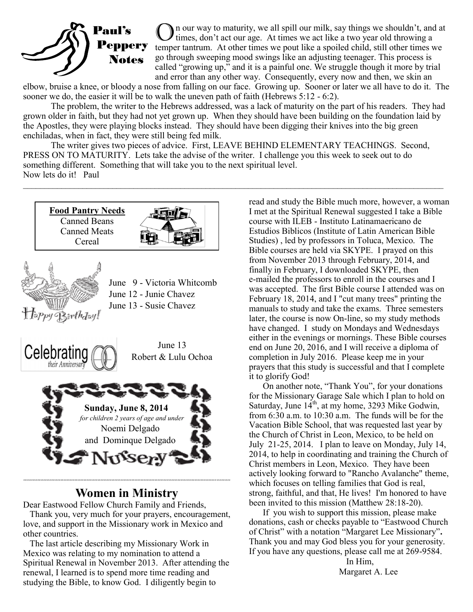

In our way to maturity, we all spill our milk, say things we shouldn't, and at times, don't act our age. At times we act like a two year old throwing a temper tantrum. At other times we pout like a spoiled child, still other times we go through sweeping mood swings like an adjusting teenager. This process is called "growing up," and it is a painful one. We struggle though it more by trial and error than any other way. Consequently, every now and then, we skin an

elbow, bruise a knee, or bloody a nose from falling on our face. Growing up. Sooner or later we all have to do it. The sooner we do, the easier it will be to walk the uneven path of faith (Hebrews 5:12 - 6:2).

The problem, the writer to the Hebrews addressed, was a lack of maturity on the part of his readers. They had grown older in faith, but they had not yet grown up. When they should have been building on the foundation laid by the Apostles, they were playing blocks instead. They should have been digging their knives into the big green enchiladas, when in fact, they were still being fed milk.

The writer gives two pieces of advice. First, LEAVE BEHIND ELEMENTARY TEACHINGS. Second, PRESS ON TO MATURITY. Lets take the advise of the writer. I challenge you this week to seek out to do something different. Something that will take you to the next spiritual level. Now lets do it! Paul

 $\mathcal{L}_\mathcal{L} = \mathcal{L}_\mathcal{L} = \mathcal{L}_\mathcal{L} = \mathcal{L}_\mathcal{L} = \mathcal{L}_\mathcal{L} = \mathcal{L}_\mathcal{L} = \mathcal{L}_\mathcal{L} = \mathcal{L}_\mathcal{L} = \mathcal{L}_\mathcal{L} = \mathcal{L}_\mathcal{L} = \mathcal{L}_\mathcal{L} = \mathcal{L}_\mathcal{L} = \mathcal{L}_\mathcal{L} = \mathcal{L}_\mathcal{L} = \mathcal{L}_\mathcal{L} = \mathcal{L}_\mathcal{L} = \mathcal{L}_\mathcal{L}$ 





#### **\*\*\*\*\*\*\*\*\*\*\*\*\*\*\*\*\*\*\*\*\*\*\*\*\*\*\*\*\*\*\*\*\*\*\*\*\*\*\*\*\*\*\*\*\*\*\*\*\*\*\*\*\*\*\*\*\*\*\*\*\*\*\*\*\*\*\*\*\*\*\*\*\*\*\*\*\*\*\*\*\*\*\*\*\*\*\*\*\*\*\*\*\*\*\*\*\*\*\*\*\*\*\*\*\*\*\*\*\*\*\*\*\*\*\*\*\*\*\*\*\*\*\*\*\*\*\*\*\*\*\*\*\*\* Women in Ministry**

Dear Eastwood Fellow Church Family and Friends,

 Thank you, very much for your prayers, encouragement, love, and support in the Missionary work in Mexico and other countries.

 The last article describing my Missionary Work in Mexico was relating to my nomination to attend a Spiritual Renewal in November 2013. After attending the renewal, I learned is to spend more time reading and studying the Bible, to know God. I diligently begin to

read and study the Bible much more, however, a woman I met at the Spiritual Renewal suggested I take a Bible course with ILEB - Instituto Latinamaericano de Estudios Biblicos (Institute of Latin American Bible Studies) , led by professors in Toluca, Mexico. The Bible courses are held via SKYPE. I prayed on this from November 2013 through February, 2014, and finally in February, I downloaded SKYPE, then e-mailed the professors to enroll in the courses and I was accepted. The first Bible course I attended was on February 18, 2014, and I "cut many trees" printing the manuals to study and take the exams. Three semesters later, the course is now On-line, so my study methods have changed. I study on Mondays and Wednesdays either in the evenings or mornings. These Bible courses end on June 20, 2016, and I will receive a diploma of completion in July 2016. Please keep me in your prayers that this study is successful and that I complete it to glorify God!

On another note, "Thank You", for your donations for the Missionary Garage Sale which I plan to hold on Saturday, June  $14<sup>th</sup>$ , at my home, 3293 Mike Godwin, from 6:30 a.m. to 10:30 a.m. The funds will be for the Vacation Bible School, that was requested last year by the Church of Christ in Leon, Mexico, to be held on July 21-25, 2014. I plan to leave on Monday, July 14, 2014, to help in coordinating and training the Church of Christ members in Leon, Mexico. They have been actively looking forward to "Rancho Avalanche" theme, which focuses on telling families that God is real, strong, faithful, and that, He lives! I'm honored to have been invited to this mission (Matthew 28:18-20).

If you wish to support this mission, please make donations, cash or checks payable to "Eastwood Church of Christ" with a notation "Margaret Lee Missionary"**.**  Thank you and may God bless you for your generosity. If you have any questions, please call me at 269-9584.

> In Him, Margaret A. Lee